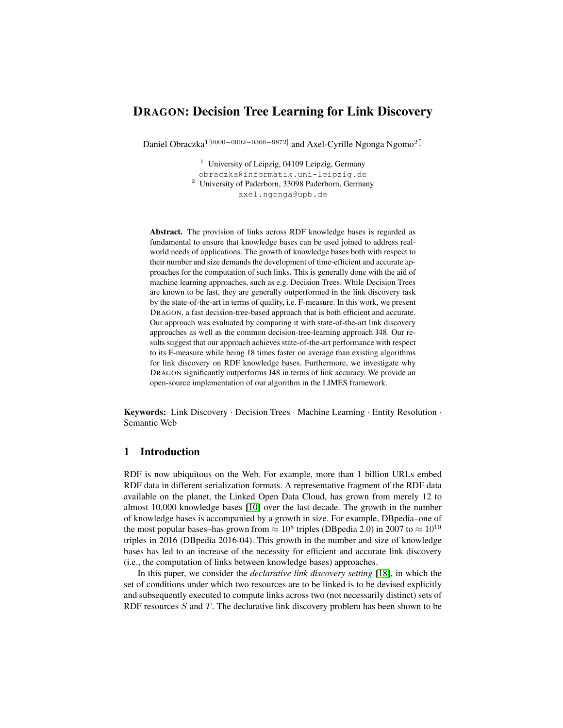# DRAGON: Decision Tree Learning for Link Discovery

Daniel Obraczka<sup>1[0000–0002–0366–9872]</sup> and Axel-Cyrille Ngonga Ngomo<sup>2[]</sup>

<sup>1</sup> University of Leipzig, 04109 Leipzig, Germany obraczka@informatik.uni-leipzig.de <sup>2</sup> University of Paderborn, 33098 Paderborn, Germany axel.ngonga@upb.de

Abstract. The provision of links across RDF knowledge bases is regarded as fundamental to ensure that knowledge bases can be used joined to address realworld needs of applications. The growth of knowledge bases both with respect to their number and size demands the development of time-efficient and accurate approaches for the computation of such links. This is generally done with the aid of machine learning approaches, such as e.g. Decision Trees. While Decision Trees are known to be fast, they are generally outperformed in the link discovery task by the state-of-the-art in terms of quality, i.e. F-measure. In this work, we present DRAGON, a fast decision-tree-based approach that is both efficient and accurate. Our approach was evaluated by comparing it with state-of-the-art link discovery approaches as well as the common decision-tree-learning approach J48. Our results suggest that our approach achieves state-of-the-art performance with respect to its F-measure while being 18 times faster on average than existing algorithms for link discovery on RDF knowledge bases. Furthermore, we investigate why DRAGON significantly outperforms J48 in terms of link accuracy. We provide an open-source implementation of our algorithm in the LIMES framework.

Keywords: Link Discovery · Decision Trees · Machine Learning · Entity Resolution · Semantic Web

## 1 Introduction

RDF is now ubiquitous on the Web. For example, more than 1 billion URLs embed RDF data in different serialization formats. A representative fragment of the RDF data available on the planet, the Linked Open Data Cloud, has grown from merely 12 to almost 10,000 knowledge bases [\[10\]](#page-13-0) over the last decade. The growth in the number of knowledge bases is accompanied by a growth in size. For example, DBpedia–one of the most popular bases–has grown from  $\approx 10^8$  triples (DBpedia 2.0) in 2007 to  $\approx 10^{10}$ triples in 2016 (DBpedia 2016-04). This growth in the number and size of knowledge bases has led to an increase of the necessity for efficient and accurate link discovery (i.e., the computation of links between knowledge bases) approaches.

In this paper, we consider the *declarative link discovery setting* [\[18\]](#page-14-0), in which the set of conditions under which two resources are to be linked is to be devised explicitly and subsequently executed to compute links across two (not necessarily distinct) sets of RDF resources  $S$  and  $T$ . The declarative link discovery problem has been shown to be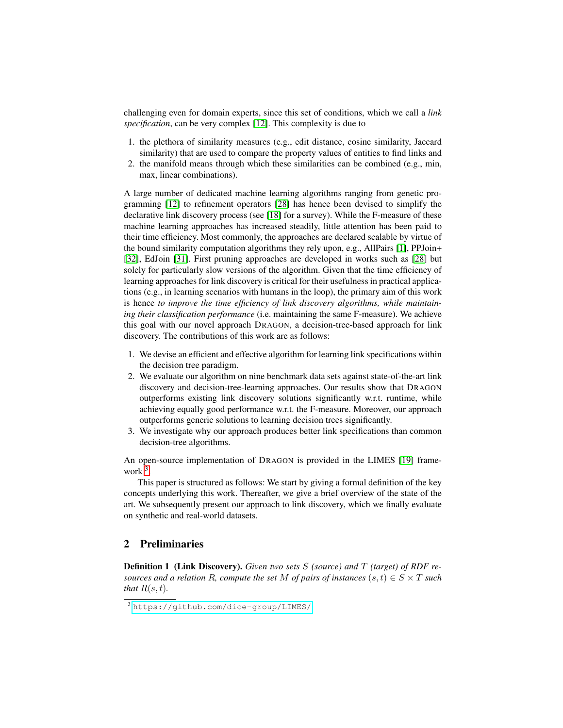challenging even for domain experts, since this set of conditions, which we call a *link specification*, can be very complex [\[12\]](#page-13-1). This complexity is due to

- 1. the plethora of similarity measures (e.g., edit distance, cosine similarity, Jaccard similarity) that are used to compare the property values of entities to find links and
- 2. the manifold means through which these similarities can be combined (e.g., min, max, linear combinations).

A large number of dedicated machine learning algorithms ranging from genetic programming [\[12\]](#page-13-1) to refinement operators [\[28\]](#page-14-1) has hence been devised to simplify the declarative link discovery process (see [\[18\]](#page-14-0) for a survey). While the F-measure of these machine learning approaches has increased steadily, little attention has been paid to their time efficiency. Most commonly, the approaches are declared scalable by virtue of the bound similarity computation algorithms they rely upon, e.g., AllPairs [\[1\]](#page-13-2), PPJoin+ [\[32\]](#page-14-2), EdJoin [\[31\]](#page-14-3). First pruning approaches are developed in works such as [\[28\]](#page-14-1) but solely for particularly slow versions of the algorithm. Given that the time efficiency of learning approaches for link discovery is critical for their usefulness in practical applications (e.g., in learning scenarios with humans in the loop), the primary aim of this work is hence *to improve the time efficiency of link discovery algorithms, while maintaining their classification performance* (i.e. maintaining the same F-measure). We achieve this goal with our novel approach DRAGON, a decision-tree-based approach for link discovery. The contributions of this work are as follows:

- 1. We devise an efficient and effective algorithm for learning link specifications within the decision tree paradigm.
- 2. We evaluate our algorithm on nine benchmark data sets against state-of-the-art link discovery and decision-tree-learning approaches. Our results show that DRAGON outperforms existing link discovery solutions significantly w.r.t. runtime, while achieving equally good performance w.r.t. the F-measure. Moreover, our approach outperforms generic solutions to learning decision trees significantly.
- 3. We investigate why our approach produces better link specifications than common decision-tree algorithms.

An open-source implementation of DRAGON is provided in the LIMES [\[19\]](#page-14-4) frame-work<sup>[3](#page-1-0)</sup>.

This paper is structured as follows: We start by giving a formal definition of the key concepts underlying this work. Thereafter, we give a brief overview of the state of the art. We subsequently present our approach to link discovery, which we finally evaluate on synthetic and real-world datasets.

### 2 Preliminaries

Definition 1 (Link Discovery). *Given two sets* S *(source) and* T *(target) of RDF resources and a relation* R, *compute the set* M *of pairs of instances*  $(s, t) \in S \times T$  *such that*  $R(s,t)$ *.* 

<span id="page-1-0"></span><sup>3</sup> <https://github.com/dice-group/LIMES/>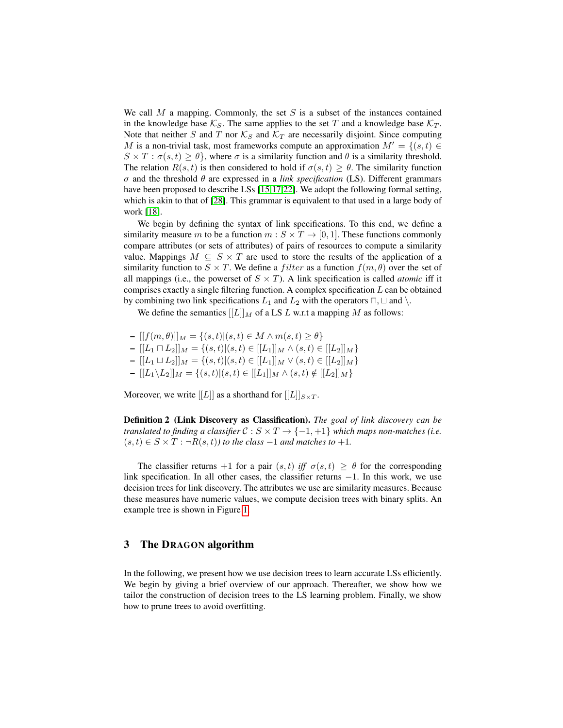We call  $M$  a mapping. Commonly, the set  $S$  is a subset of the instances contained in the knowledge base  $\mathcal{K}_S$ . The same applies to the set T and a knowledge base  $\mathcal{K}_T$ . Note that neither S and T nor  $\mathcal{K}_S$  and  $\mathcal{K}_T$  are necessarily disjoint. Since computing M is a non-trivial task, most frameworks compute an approximation  $M' = \{(s, t) \in$  $S \times T : \sigma(s, t) \geq \theta$ , where  $\sigma$  is a similarity function and  $\theta$  is a similarity threshold. The relation  $R(s, t)$  is then considered to hold if  $\sigma(s, t) \ge \theta$ . The similarity function σ and the threshold θ are expressed in a *link specification* (LS). Different grammars have been proposed to describe LSs [\[15](#page-14-5)[,17,](#page-14-6)[22\]](#page-14-7). We adopt the following formal setting, which is akin to that of [\[28\]](#page-14-1). This grammar is equivalent to that used in a large body of work [\[18\]](#page-14-0).

We begin by defining the syntax of link specifications. To this end, we define a similarity measure m to be a function  $m : S \times T \rightarrow [0, 1]$ . These functions commonly compare attributes (or sets of attributes) of pairs of resources to compute a similarity value. Mappings  $M \subseteq S \times T$  are used to store the results of the application of a similarity function to  $S \times T$ . We define a *filter* as a function  $f(m, \theta)$  over the set of all mappings (i.e., the powerset of  $S \times T$ ). A link specification is called *atomic* iff it comprises exactly a single filtering function. A complex specification  $L$  can be obtained by combining two link specifications  $L_1$  and  $L_2$  with the operators  $\Box$ ,  $\Box$  and  $\setminus$ .

We define the semantics  $[[L]]_M$  of a LS L w.r.t a mapping M as follows:

 $- [[f(m, \theta)]]_M = \{(s, t) | (s, t) \in M \wedge m(s, t) \geq \theta\}$ –  $[[L_1 \sqcap L_2]]_M = \{(s, t) | (s, t) \in [[L_1]]_M \wedge (s, t) \in [[L_2]]_M\}$ –  $[[L_1 \sqcup L_2]]_M$  = { $(s, t)$ | $(s, t)$  ∈  $[[L_1]]_M$  ∨  $(s, t)$  ∈  $[[L_2]]_M$ } –  $[[L_1 \setminus L_2]]_M = \{(s, t) | (s, t) \in [[L_1]]_M \wedge (s, t) \notin [[L_2]]_M\}$ 

<span id="page-2-0"></span>Moreover, we write [[L]] as a shorthand for  $[[L]]_{S\times T}$ .

Definition 2 (Link Discovery as Classification). *The goal of link discovery can be translated to finding a classifier*  $C : S \times T \rightarrow \{-1, +1\}$  *which maps non-matches (i.e.*  $(s, t) \in S \times T : \neg R(s, t)$ *) to the class*  $-1$  *and matches to*  $+1$ *.* 

The classifier returns +1 for a pair  $(s, t)$  *iff*  $\sigma(s, t) \geq \theta$  for the corresponding link specification. In all other cases, the classifier returns  $-1$ . In this work, we use decision trees for link discovery. The attributes we use are similarity measures. Because these measures have numeric values, we compute decision trees with binary splits. An example tree is shown in Figure [1.](#page-3-0)

## 3 The DRAGON algorithm

In the following, we present how we use decision trees to learn accurate LSs efficiently. We begin by giving a brief overview of our approach. Thereafter, we show how we tailor the construction of decision trees to the LS learning problem. Finally, we show how to prune trees to avoid overfitting.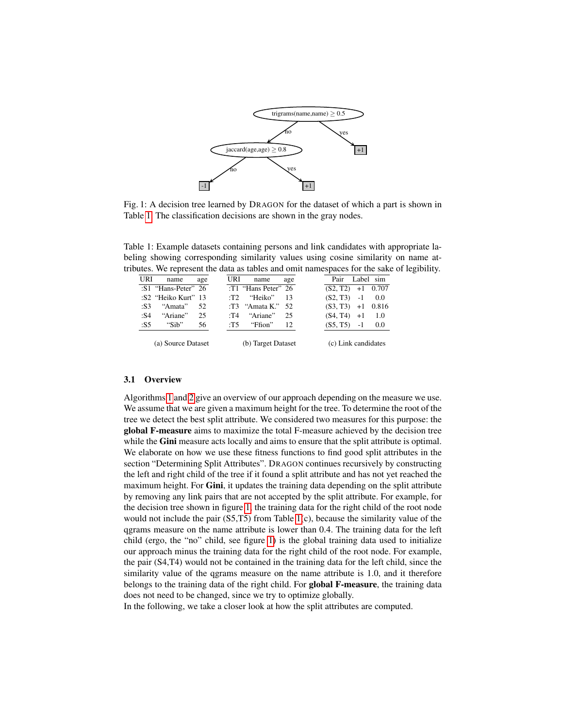<span id="page-3-0"></span>

Fig. 1: A decision tree learned by DRAGON for the dataset of which a part is shown in Table [1.](#page-3-1) The classification decisions are shown in the gray nodes.

<span id="page-3-1"></span>Table 1: Example datasets containing persons and link candidates with appropriate labeling showing corresponding similarity values using cosine similarity on name attributes. We represent the data as tables and omit namespaces for the sake of legibility.

|      | URI name            | age | URI | name                     | age | Pair Label sim      |     |
|------|---------------------|-----|-----|--------------------------|-----|---------------------|-----|
|      | :S1 "Hans-Peter" 26 |     |     | :T1 "Hans Peter" 26      |     | $(S2, T2)$ +1 0.707 |     |
|      | :S2 "Heiko Kurt" 13 |     |     | $\cdot$ T2 "Heiko" 13    |     | $(S2, T3)$ -1 0.0   |     |
| : S3 | "Amata"             | 52  |     | :T3 "Amata K." $52$      |     | $(S3, T3)$ +1 0.816 |     |
| :S4  | "Ariane"            | 25  |     | :T4 "Ariane"             | 25  | $(S4, T4) +1 1.0$   |     |
| :S5  | "Sib"               | 56  |     | :T5 $\mathsf{``Ffion''}$ | 12  | $(S5, T5) -1$       | 0.0 |
|      | (a) Source Dataset  |     |     | (b) Target Dataset       |     | (c) Link candidates |     |

#### 3.1 Overview

Algorithms [1](#page-4-0) and [2](#page-4-1) give an overview of our approach depending on the measure we use. We assume that we are given a maximum height for the tree. To determine the root of the tree we detect the best split attribute. We considered two measures for this purpose: the global F-measure aims to maximize the total F-measure achieved by the decision tree while the Gini measure acts locally and aims to ensure that the split attribute is optimal. We elaborate on how we use these fitness functions to find good split attributes in the section "Determining Split Attributes". DRAGON continues recursively by constructing the left and right child of the tree if it found a split attribute and has not yet reached the maximum height. For Gini, it updates the training data depending on the split attribute by removing any link pairs that are not accepted by the split attribute. For example, for the decision tree shown in figure [1,](#page-3-0) the training data for the right child of the root node would not include the pair (S5,T5) from Table [1\(](#page-3-1)c), because the similarity value of the qgrams measure on the name attribute is lower than 0.4. The training data for the left child (ergo, the "no" child, see figure [1\)](#page-3-0) is the global training data used to initialize our approach minus the training data for the right child of the root node. For example, the pair (S4,T4) would not be contained in the training data for the left child, since the similarity value of the qgrams measure on the name attribute is 1.0, and it therefore belongs to the training data of the right child. For **global F-measure**, the training data does not need to be changed, since we try to optimize globally.

In the following, we take a closer look at how the split attributes are computed.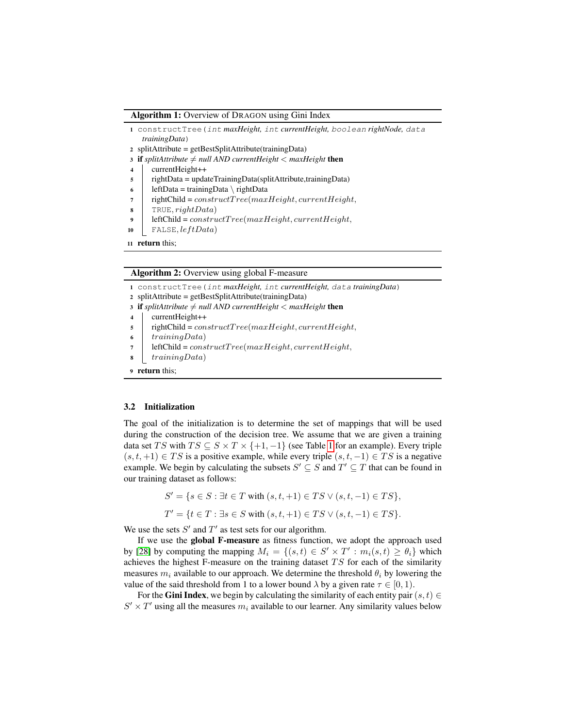#### Algorithm 1: Overview of DRAGON using Gini Index

- <span id="page-4-0"></span><sup>1</sup> constructTree(int *maxHeight,* int *currentHeight,* boolean *rightNode,* data *trainingData*)
- <sup>2</sup> splitAttribute = getBestSplitAttribute(trainingData)
- 3 if *splitAttribute*  $\neq$  *null AND currentHeight*  $\lt$  *maxHeight* then
- <sup>4</sup> currentHeight++
- $\frac{1}{5}$  rightData = updateTrainingData(splitAttribute,trainingData)
- 6 | leftData = trainingData \ rightData
- 7  $\Box$  rightChild = constructTree(maxHeight, currentHeight,
- $\mathbf{8}$  | TRUE, rightData)
- 9 | leftChild =  $constructTree(maxHeight, currentHeight,$
- 10 | FALSE,  $leftData)$
- <sup>11</sup> return this;

#### Algorithm 2: Overview using global F-measure

<span id="page-4-1"></span><sup>1</sup> constructTree(int *maxHeight,* int *currentHeight,* data *trainingData*)

- <sup>2</sup> splitAttribute = getBestSplitAttribute(trainingData)
- 3 if *splitAttribute*  $\neq$  *null AND currentHeight*  $\lt$  *maxHeight* then
- <sup>4</sup> currentHeight++
- $\texttt{s}$  | rightChild = constructTree(maxHeight, currentHeight,
- $6 \mid trainingData)$
- 7 | leftChild =  $constructTree(maxHeight, currentHeight,$
- $\boldsymbol{s}$  | training Data)

```
9 return this;
```
#### 3.2 Initialization

The goal of the initialization is to determine the set of mappings that will be used during the construction of the decision tree. We assume that we are given a training data set TS with  $TS \subseteq S \times T \times \{+1, -1\}$  (see Table [1](#page-3-1) for an example). Every triple  $(s, t, +1) \in TS$  is a positive example, while every triple  $(s, t, -1) \in TS$  is a negative example. We begin by calculating the subsets  $S' \subseteq S$  and  $T' \subseteq T$  that can be found in our training dataset as follows:

> $S' = \{ s \in S : \exists t \in T \text{ with } (s, t, +1) \in TS \vee (s, t, -1) \in TS \},\$  $T' = \{t \in T : \exists s \in S \text{ with } (s, t, +1) \in TS \vee (s, t, -1) \in TS\}.$

We use the sets  $S'$  and  $T'$  as test sets for our algorithm.

If we use the global F-measure as fitness function, we adopt the approach used by [\[28\]](#page-14-1) by computing the mapping  $M_i = \{(s,t) \in S' \times T' : m_i(s,t) \geq \theta_i\}$  which achieves the highest F-measure on the training dataset  $TS$  for each of the similarity measures  $m_i$  available to our approach. We determine the threshold  $\theta_i$  by lowering the value of the said threshold from 1 to a lower bound  $\lambda$  by a given rate  $\tau \in [0, 1)$ .

For the Gini Index, we begin by calculating the similarity of each entity pair  $(s, t) \in$  $S' \times T'$  using all the measures  $m_i$  available to our learner. Any similarity values below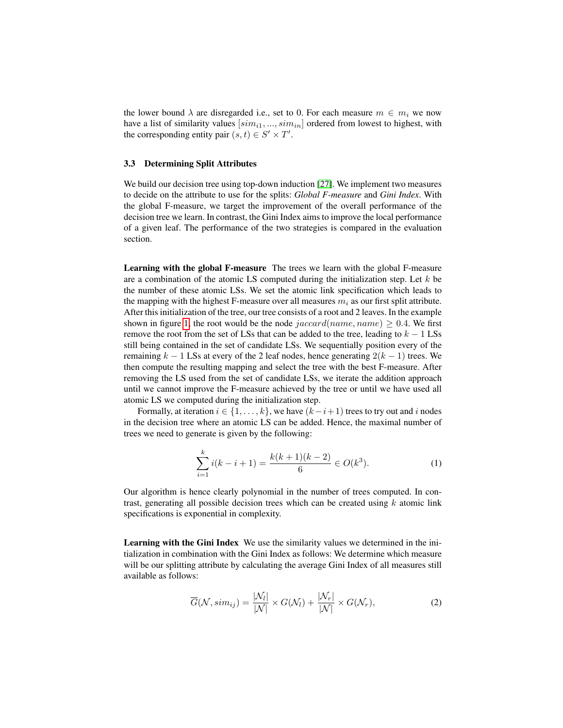the lower bound  $\lambda$  are disregarded i.e., set to 0. For each measure  $m \in m_i$  we now have a list of similarity values  $[sim_{i1}, ..., sim_{in}]$  ordered from lowest to highest, with the corresponding entity pair  $(s, t) \in S' \times T'$ .

#### 3.3 Determining Split Attributes

We build our decision tree using top-down induction [\[27\]](#page-14-8). We implement two measures to decide on the attribute to use for the splits: *Global F-measure* and *Gini Index*. With the global F-measure, we target the improvement of the overall performance of the decision tree we learn. In contrast, the Gini Index aims to improve the local performance of a given leaf. The performance of the two strategies is compared in the evaluation section.

Learning with the global F-measure The trees we learn with the global F-measure are a combination of the atomic LS computed during the initialization step. Let  $k$  be the number of these atomic LSs. We set the atomic link specification which leads to the mapping with the highest F-measure over all measures  $m_i$  as our first split attribute. After this initialization of the tree, our tree consists of a root and 2 leaves. In the example shown in figure [1,](#page-3-0) the root would be the node  $jaccard(name, name) \ge 0.4$ . We first remove the root from the set of LSs that can be added to the tree, leading to  $k - 1$  LSs still being contained in the set of candidate LSs. We sequentially position every of the remaining  $k - 1$  LSs at every of the 2 leaf nodes, hence generating  $2(k - 1)$  trees. We then compute the resulting mapping and select the tree with the best F-measure. After removing the LS used from the set of candidate LSs, we iterate the addition approach until we cannot improve the F-measure achieved by the tree or until we have used all atomic LS we computed during the initialization step.

Formally, at iteration  $i \in \{1, \ldots, k\}$ , we have  $(k-i+1)$  trees to try out and i nodes in the decision tree where an atomic LS can be added. Hence, the maximal number of trees we need to generate is given by the following:

$$
\sum_{i=1}^{k} i(k-i+1) = \frac{k(k+1)(k-2)}{6} \in O(k^3).
$$
 (1)

Our algorithm is hence clearly polynomial in the number of trees computed. In contrast, generating all possible decision trees which can be created using  $k$  atomic link specifications is exponential in complexity.

Learning with the Gini Index We use the similarity values we determined in the initialization in combination with the Gini Index as follows: We determine which measure will be our splitting attribute by calculating the average Gini Index of all measures still available as follows:

$$
\overline{G}(\mathcal{N}, sim_{ij}) = \frac{|\mathcal{N}_l|}{|\mathcal{N}|} \times G(\mathcal{N}_l) + \frac{|\mathcal{N}_r|}{|\mathcal{N}|} \times G(\mathcal{N}_r),
$$
\n(2)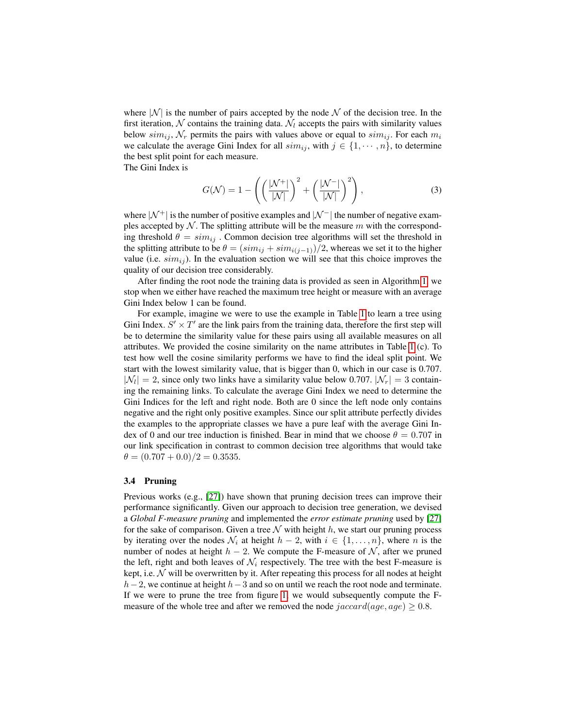where  $|N|$  is the number of pairs accepted by the node N of the decision tree. In the first iteration,  $N$  contains the training data.  $N_l$  accepts the pairs with similarity values below  $sim_{ij}$ ,  $N_r$  permits the pairs with values above or equal to  $sim_{ij}$ . For each  $m_i$ we calculate the average Gini Index for all  $sim_{ij}$ , with  $j \in \{1, \dots, n\}$ , to determine the best split point for each measure.

The Gini Index is

$$
G(\mathcal{N}) = 1 - \left( \left( \frac{|\mathcal{N}^+|}{|\mathcal{N}|} \right)^2 + \left( \frac{|\mathcal{N}^-|}{|\mathcal{N}|} \right)^2 \right),\tag{3}
$$

where  $|\mathcal{N}^+|$  is the number of positive examples and  $|\mathcal{N}^-|$  the number of negative examples accepted by  $N$ . The splitting attribute will be the measure m with the corresponding threshold  $\theta = sim_{ij}$ . Common decision tree algorithms will set the threshold in the splitting attribute to be  $\theta = (sim_{ij} + sim_{i(j-1)})/2$ , whereas we set it to the higher value (i.e.  $sim_{ij}$ ). In the evaluation section we will see that this choice improves the quality of our decision tree considerably.

After finding the root node the training data is provided as seen in Algorithm [1,](#page-4-0) we stop when we either have reached the maximum tree height or measure with an average Gini Index below 1 can be found.

For example, imagine we were to use the example in Table [1](#page-3-1) to learn a tree using Gini Index.  $S' \times T'$  are the link pairs from the training data, therefore the first step will be to determine the similarity value for these pairs using all available measures on all attributes. We provided the cosine similarity on the name attributes in Table [1](#page-3-1) (c). To test how well the cosine similarity performs we have to find the ideal split point. We start with the lowest similarity value, that is bigger than 0, which in our case is 0.707.  $|\mathcal{N}_l| = 2$ , since only two links have a similarity value below 0.707.  $|\mathcal{N}_r| = 3$  containing the remaining links. To calculate the average Gini Index we need to determine the Gini Indices for the left and right node. Both are 0 since the left node only contains negative and the right only positive examples. Since our split attribute perfectly divides the examples to the appropriate classes we have a pure leaf with the average Gini Index of 0 and our tree induction is finished. Bear in mind that we choose  $\theta = 0.707$  in our link specification in contrast to common decision tree algorithms that would take  $\theta = (0.707 + 0.0)/2 = 0.3535.$ 

#### 3.4 Pruning

Previous works (e.g., [\[27\]](#page-14-8)) have shown that pruning decision trees can improve their performance significantly. Given our approach to decision tree generation, we devised a *Global F-measure pruning* and implemented the *error estimate pruning* used by [\[27\]](#page-14-8) for the sake of comparison. Given a tree  $N$  with height h, we start our pruning process by iterating over the nodes  $\mathcal{N}_i$  at height  $h - 2$ , with  $i \in \{1, \ldots, n\}$ , where n is the number of nodes at height  $h - 2$ . We compute the F-measure of  $\mathcal N$ , after we pruned the left, right and both leaves of  $\mathcal{N}_i$  respectively. The tree with the best F-measure is kept, i.e.  $N$  will be overwritten by it. After repeating this process for all nodes at height  $h-2$ , we continue at height  $h-3$  and so on until we reach the root node and terminate. If we were to prune the tree from figure [1,](#page-3-0) we would subsequently compute the Fmeasure of the whole tree and after we removed the node  $jaccard(age, age) \ge 0.8$ .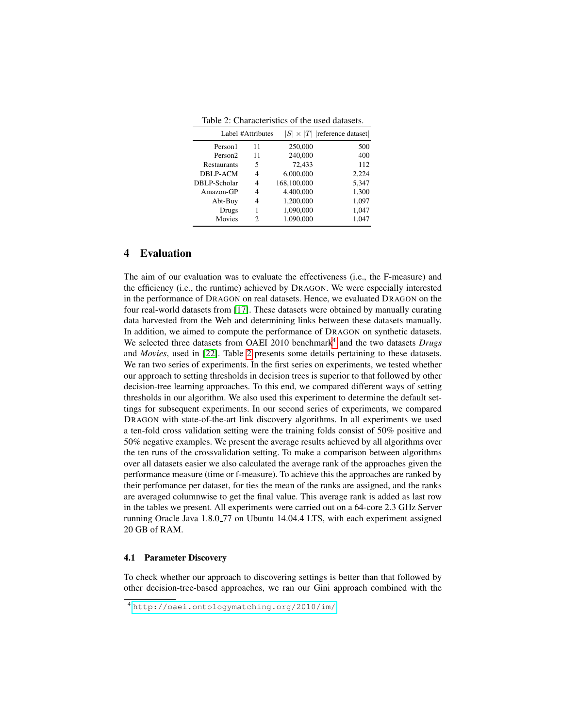Table 2: Characteristics of the used datasets.

<span id="page-7-1"></span>

|                     | Label #Attributes | $ S  \times  T $  reference dataset |       |  |  |  |  |
|---------------------|-------------------|-------------------------------------|-------|--|--|--|--|
| Person1             | 11                | 250,000                             | 500   |  |  |  |  |
| Person <sub>2</sub> | 11                | 240,000                             | 400   |  |  |  |  |
| <b>Restaurants</b>  | 5                 | 72,433                              | 112   |  |  |  |  |
| DBLP-ACM            | 4                 | 6,000,000                           | 2,224 |  |  |  |  |
| DBLP-Scholar        | 4                 | 168,100,000                         | 5,347 |  |  |  |  |
| Amazon-GP           | 4                 | 4,400,000                           | 1,300 |  |  |  |  |
| Abt-Buy             | 4                 | 1,200,000                           | 1,097 |  |  |  |  |
| Drugs               | 1                 | 1,090,000                           | 1,047 |  |  |  |  |
| Movies              | 2                 | 1.090.000                           | 1,047 |  |  |  |  |

## 4 Evaluation

The aim of our evaluation was to evaluate the effectiveness (i.e., the F-measure) and the efficiency (i.e., the runtime) achieved by DRAGON. We were especially interested in the performance of DRAGON on real datasets. Hence, we evaluated DRAGON on the four real-world datasets from [\[17\]](#page-14-6). These datasets were obtained by manually curating data harvested from the Web and determining links between these datasets manually. In addition, we aimed to compute the performance of DRAGON on synthetic datasets. We selected three datasets from OAEI 2010 benchmark<sup>[4](#page-7-0)</sup> and the two datasets *Drugs* and *Movies*, used in [\[22\]](#page-14-7). Table [2](#page-7-1) presents some details pertaining to these datasets. We ran two series of experiments. In the first series on experiments, we tested whether our approach to setting thresholds in decision trees is superior to that followed by other decision-tree learning approaches. To this end, we compared different ways of setting thresholds in our algorithm. We also used this experiment to determine the default settings for subsequent experiments. In our second series of experiments, we compared DRAGON with state-of-the-art link discovery algorithms. In all experiments we used a ten-fold cross validation setting were the training folds consist of 50% positive and 50% negative examples. We present the average results achieved by all algorithms over the ten runs of the crossvalidation setting. To make a comparison between algorithms over all datasets easier we also calculated the average rank of the approaches given the performance measure (time or f-measure). To achieve this the approaches are ranked by their perfomance per dataset, for ties the mean of the ranks are assigned, and the ranks are averaged columnwise to get the final value. This average rank is added as last row in the tables we present. All experiments were carried out on a 64-core 2.3 GHz Server running Oracle Java 1.8.0 77 on Ubuntu 14.04.4 LTS, with each experiment assigned 20 GB of RAM.

#### 4.1 Parameter Discovery

To check whether our approach to discovering settings is better than that followed by other decision-tree-based approaches, we ran our Gini approach combined with the

<span id="page-7-0"></span><sup>4</sup> <http://oaei.ontologymatching.org/2010/im/>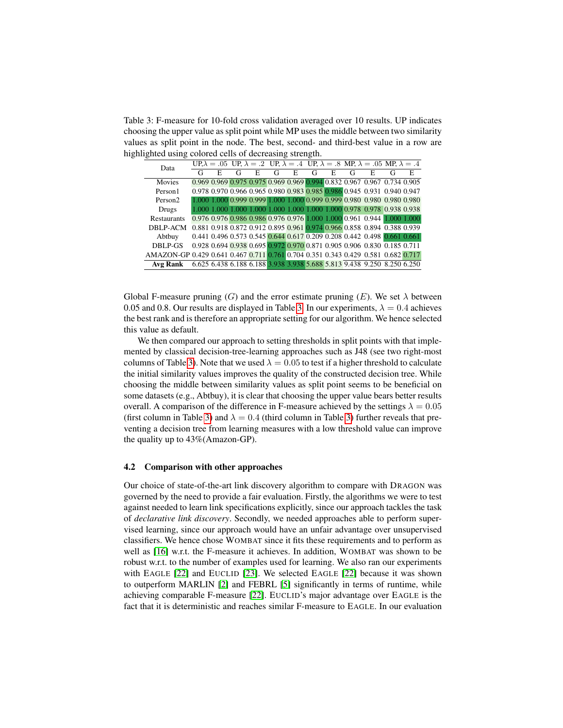<span id="page-8-0"></span>Table 3: F-measure for 10-fold cross validation averaged over 10 results. UP indicates choosing the upper value as split point while MP uses the middle between two similarity values as split point in the node. The best, second- and third-best value in a row are highlighted using colored cells of decreasing strength.

| Data                                                                              |   |    |  |   |   |   |   |   | UP, $\lambda = .05$ UP, $\lambda = .2$ UP, $\lambda = .4$ UP, $\lambda = .8$ MP, $\lambda = .05$ MP, $\lambda = .4$ |    |
|-----------------------------------------------------------------------------------|---|----|--|---|---|---|---|---|---------------------------------------------------------------------------------------------------------------------|----|
|                                                                                   | G | E. |  | G | E | G | E | G | E                                                                                                                   | E. |
| Movies                                                                            |   |    |  |   |   |   |   |   | 0.969 0.969 0.975 0.975 0.969 0.969 0.994 0.832 0.967 0.967 0.734 0.905                                             |    |
| Person1                                                                           |   |    |  |   |   |   |   |   | 0.978 0.970 0.966 0.965 0.980 0.983 0.985 0.986 0.945 0.931 0.940 0.947                                             |    |
| Person <sub>2</sub>                                                               |   |    |  |   |   |   |   |   | 1.000 1.000 0.999 0.999 1.000 1.000 0.999 0.999 0.980 0.980 0.980 0.980                                             |    |
| Drugs                                                                             |   |    |  |   |   |   |   |   | 1.000 1.000 1.000 1.000 1.000 1.000 1.000 1.000 0.978 0.978 0.938 0.938                                             |    |
| Restaurants                                                                       |   |    |  |   |   |   |   |   | 0.976 0.976 0.986 0.986 0.976 0.976 1.000 1.000 0.961 0.944 1.000 1.000                                             |    |
| DBLP-ACM                                                                          |   |    |  |   |   |   |   |   | 0.881 0.918 0.872 0.912 0.895 0.961 0.974 0.966 0.858 0.894 0.388 0.939                                             |    |
| Abtbuy                                                                            |   |    |  |   |   |   |   |   | 0.441 0.496 0.573 0.545 0.644 0.617 0.209 0.208 0.442 0.498 0.661 0.661                                             |    |
| DBLP-GS                                                                           |   |    |  |   |   |   |   |   | 0.928 0.694 0.938 0.695 0.972 0.970 0.871 0.905 0.906 0.830 0.185 0.711                                             |    |
| AMAZON-GP 0.429 0.641 0.467 0.711 0.761 0.704 0.351 0.343 0.429 0.581 0.682 0.717 |   |    |  |   |   |   |   |   |                                                                                                                     |    |
| Avg Rank                                                                          |   |    |  |   |   |   |   |   | 6.625 6.438 6.188 6.188 3.938 3.938 5.688 5.813 9.438 9.250 8.250 6.250                                             |    |

Global F-measure pruning  $(G)$  and the error estimate pruning  $(E)$ . We set  $\lambda$  between 0.05 and 0.8. Our results are displayed in Table [3.](#page-8-0) In our experiments,  $\lambda = 0.4$  achieves the best rank and is therefore an appropriate setting for our algorithm. We hence selected this value as default.

We then compared our approach to setting thresholds in split points with that implemented by classical decision-tree-learning approaches such as J48 (see two right-most columns of Table [3\)](#page-8-0). Note that we used  $\lambda = 0.05$  to test if a higher threshold to calculate the initial similarity values improves the quality of the constructed decision tree. While choosing the middle between similarity values as split point seems to be beneficial on some datasets (e.g., Abtbuy), it is clear that choosing the upper value bears better results overall. A comparison of the difference in F-measure achieved by the settings  $\lambda = 0.05$ (first column in Table [3\)](#page-8-0) and  $\lambda = 0.4$  (third column in Table 3) further reveals that preventing a decision tree from learning measures with a low threshold value can improve the quality up to 43%(Amazon-GP).

#### 4.2 Comparison with other approaches

Our choice of state-of-the-art link discovery algorithm to compare with DRAGON was governed by the need to provide a fair evaluation. Firstly, the algorithms we were to test against needed to learn link specifications explicitly, since our approach tackles the task of *declarative link discovery*. Secondly, we needed approaches able to perform supervised learning, since our approach would have an unfair advantage over unsupervised classifiers. We hence chose WOMBAT since it fits these requirements and to perform as well as [\[16\]](#page-14-9) w.r.t. the F-measure it achieves. In addition, WOMBAT was shown to be robust w.r.t. to the number of examples used for learning. We also ran our experiments with EAGLE [\[22\]](#page-14-7) and EUCLID [\[23\]](#page-14-10). We selected EAGLE [22] because it was shown to outperform MARLIN [\[2\]](#page-13-3) and FEBRL [\[5\]](#page-13-4) significantly in terms of runtime, while achieving comparable F-measure [\[22\]](#page-14-7). EUCLID's major advantage over EAGLE is the fact that it is deterministic and reaches similar F-measure to EAGLE. In our evaluation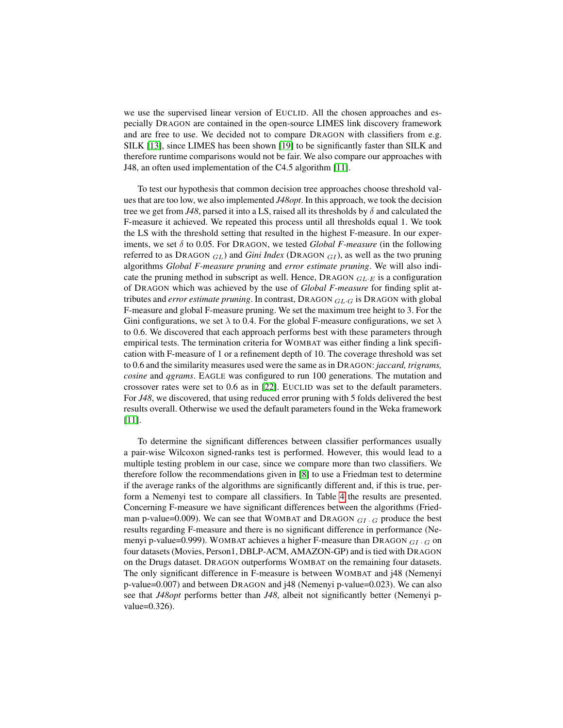we use the supervised linear version of EUCLID. All the chosen approaches and especially DRAGON are contained in the open-source LIMES link discovery framework and are free to use. We decided not to compare DRAGON with classifiers from e.g. SILK [\[13\]](#page-13-5), since LIMES has been shown [\[19\]](#page-14-4) to be significantly faster than SILK and therefore runtime comparisons would not be fair. We also compare our approaches with J48, an often used implementation of the C4.5 algorithm [\[11\]](#page-13-6).

To test our hypothesis that common decision tree approaches choose threshold values that are too low, we also implemented *J48opt*. In this approach, we took the decision tree we get from *J48*, parsed it into a LS, raised all its thresholds by  $\delta$  and calculated the F-measure it achieved. We repeated this process until all thresholds equal 1. We took the LS with the threshold setting that resulted in the highest F-measure. In our experiments, we set  $\delta$  to 0.05. For DRAGON, we tested *Global F-measure* (in the following referred to as DRAGON  $_{GL}$ ) and *Gini Index* (DRAGON  $_{GI}$ ), as well as the two pruning algorithms *Global F-measure pruning* and *error estimate pruning*. We will also indicate the pruning method in subscript as well. Hence,  $DRAGON$   $GL-E$  is a configuration of DRAGON which was achieved by the use of *Global F-measure* for finding split attributes and *error estimate pruning*. In contrast, DRAGON GL·<sup>G</sup> is DRAGON with global F-measure and global F-measure pruning. We set the maximum tree height to 3. For the Gini configurations, we set  $\lambda$  to 0.4. For the global F-measure configurations, we set  $\lambda$ to 0.6. We discovered that each approach performs best with these parameters through empirical tests. The termination criteria for WOMBAT was either finding a link specification with F-measure of 1 or a refinement depth of 10. The coverage threshold was set to 0.6 and the similarity measures used were the same as in DRAGON: *jaccard, trigrams, cosine* and *qgrams*. EAGLE was configured to run 100 generations. The mutation and crossover rates were set to 0.6 as in [\[22\]](#page-14-7). EUCLID was set to the default parameters. For *J48*, we discovered, that using reduced error pruning with 5 folds delivered the best results overall. Otherwise we used the default parameters found in the Weka framework [\[11\]](#page-13-6).

To determine the significant differences between classifier performances usually a pair-wise Wilcoxon signed-ranks test is performed. However, this would lead to a multiple testing problem in our case, since we compare more than two classifiers. We therefore follow the recommendations given in [\[8\]](#page-13-7) to use a Friedman test to determine if the average ranks of the algorithms are significantly different and, if this is true, perform a Nemenyi test to compare all classifiers. In Table [4](#page-10-0) the results are presented. Concerning F-measure we have significant differences between the algorithms (Friedman p-value=0.009). We can see that WOMBAT and DRAGON  $_{GL}$   $_{G}$  produce the best results regarding F-measure and there is no significant difference in performance (Nemenyi p-value=0.999). WOMBAT achieves a higher F-measure than DRAGON  $GI \cdot G$  on four datasets (Movies, Person1, DBLP-ACM, AMAZON-GP) and is tied with DRAGON on the Drugs dataset. DRAGON outperforms WOMBAT on the remaining four datasets. The only significant difference in F-measure is between WOMBAT and j48 (Nemenyi p-value=0.007) and between DRAGON and j48 (Nemenyi p-value=0.023). We can also see that *J48opt* performs better than *J48*, albeit not significantly better (Nemenyi pvalue=0.326).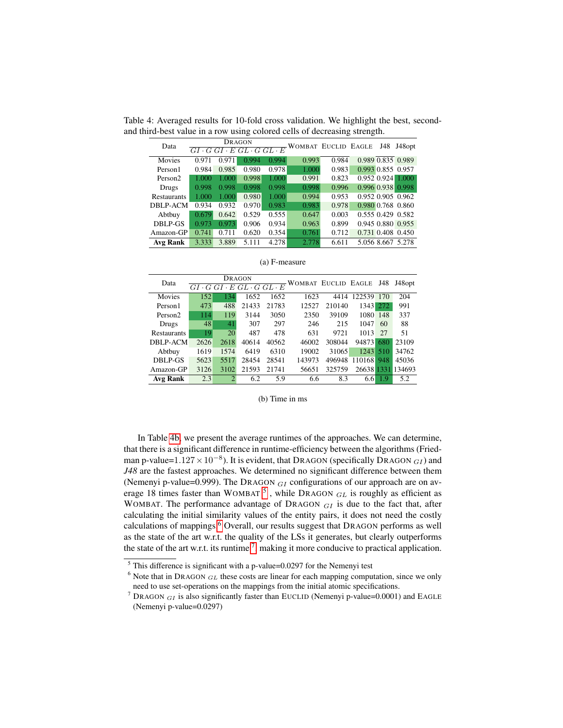| Data                |                                                                        |       | DRAGON |       | WOMBAT EUCLID EAGLE |       |             | J48 | J48 opt           |
|---------------------|------------------------------------------------------------------------|-------|--------|-------|---------------------|-------|-------------|-----|-------------------|
|                     | $\overline{G}\overline{I\cdot G\; G I\cdot E\; GL\cdot G\; GL\cdot E}$ |       |        |       |                     |       |             |     |                   |
| Movies              | 0.971                                                                  | 0.971 | 0.994  | 0.994 | 0.993               | 0.984 |             |     | 0.989 0.835 0.989 |
| Person1             | 0.984                                                                  | 0.985 | 0.980  | 0.978 | 1.000               | 0.983 |             |     | 0.993 0.855 0.957 |
| Person <sub>2</sub> | 1.000                                                                  | 1.000 | 0.998  | 1.000 | 0.991               | 0.823 | 0.952 0.924 |     | 1.000             |
| Drugs               | 0.998                                                                  | 0.998 | 0.998  | 0.998 | 0.998               | 0.996 | 0.996 0.938 |     | 0.998             |
| <b>Restaurants</b>  | 1.000                                                                  | 1.000 | 0.980  | 1.000 | 0.994               | 0.953 |             |     | 0.952 0.905 0.962 |
| <b>DBLP-ACM</b>     | 0.934                                                                  | 0.932 | 0.970  | 0.983 | 0.983               | 0.978 |             |     | 0.980 0.768 0.860 |
| Abtbuy              | 0.679                                                                  | 0.642 | 0.529  | 0.555 | 0.647               | 0.003 |             |     | 0.555 0.429 0.582 |
| DBLP-GS             | 0.973                                                                  | 0.973 | 0.906  | 0.934 | 0.963               | 0.899 |             |     | 0.945 0.880 0.955 |
| Amazon-GP           | 0.741                                                                  | 0.711 | 0.620  | 0.354 | 0.761               | 0.712 |             |     | 0.731 0.408 0.450 |
| <b>Avg Rank</b>     | 3.333                                                                  | 3.889 | 5.111  | 4.278 | 2.778               | 6.611 |             |     | 5.056 8.667 5.278 |

<span id="page-10-0"></span>Table 4: Averaged results for 10-fold cross validation. We highlight the best, secondand third-best value in a row using colored cells of decreasing strength.

| Data                |      |      | <b>DRAGON</b><br>$GI \cdot G \cdot F \cdot GL \cdot G \cdot GL \cdot E$ |       | WOMBAT EUCLID EAGLE |        |        | J48 | J48 opt           |
|---------------------|------|------|-------------------------------------------------------------------------|-------|---------------------|--------|--------|-----|-------------------|
| Movies              | 152  | 134  | 1652                                                                    | 1652  | 1623                | 4414   | 122539 | 170 | 204               |
| Person1             | 473  | 488  | 21433                                                                   | 21783 | 12527               | 210140 | 1343   | 272 | 991               |
| Person <sub>2</sub> | 114  | 119  | 3144                                                                    | 3050  | 2350                | 39109  | 1080   | 148 | 337               |
| Drugs               | 48   | 41   | 307                                                                     | 297   | 246                 | 215    | 1047   | 60  | 88                |
| <b>Restaurants</b>  | 19   | 20   | 487                                                                     | 478   | 631                 | 9721   | 1013   | 27  | 51                |
| DBLP-ACM            | 2626 | 2618 | 40614                                                                   | 40562 | 46002               | 308044 | 94873  | 680 | 23109             |
| Abtbuy              | 1619 | 1574 | 6419                                                                    | 6310  | 19002               | 31065  | 1243   | 510 | 34762             |
| DBLP-GS             | 5623 | 5517 | 28454                                                                   | 28541 | 143973              | 496948 | 110168 | 948 | 45036             |
| Amazon-GP           | 3126 | 3102 | 21593                                                                   | 21741 | 56651               | 325759 |        |     | 26638 1331 134693 |
| <b>Avg Rank</b>     | 2.3  |      | 6.2                                                                     | 5.9   | 6.6                 | 8.3    | 6.6    | 1.9 | 5.2               |

(a) F-measure

#### (b) Time in ms

In Table [4b,](#page-10-0) we present the average runtimes of the approaches. We can determine, that there is a significant difference in runtime-efficiency between the algorithms (Friedman p-value= $1.127 \times 10^{-8}$ ). It is evident, that DRAGON (specifically DRAGON  $_{GI}$ ) and *J48* are the fastest approaches. We determined no significant difference between them (Nemenyi p-value=0.999). The DRAGON  $_{GI}$  configurations of our approach are on average 18 times faster than WOMBAT  $^5$  $^5$ , while DRAGON  $_{GL}$  is roughly as efficient as WOMBAT. The performance advantage of DRAGON  $_{GI}$  is due to the fact that, after calculating the initial similarity values of the entity pairs, it does not need the costly calculations of mappings.<sup>[6](#page-10-2)</sup> Overall, our results suggest that DRAGON performs as well as the state of the art w.r.t. the quality of the LSs it generates, but clearly outperforms the state of the art w.r.t. its runtime  $^7$  $^7$ , making it more conducive to practical application.

<span id="page-10-1"></span> $<sup>5</sup>$  This difference is significant with a p-value=0.0297 for the Nemenyi test</sup>

<span id="page-10-2"></span> $6$  Note that in DRAGON  $GL$  these costs are linear for each mapping computation, since we only need to use set-operations on the mappings from the initial atomic specifications.

<span id="page-10-3"></span><sup>&</sup>lt;sup>7</sup> DRAGON  $_{GI}$  is also significantly faster than EUCLID (Nemenyi p-value=0.0001) and EAGLE (Nemenyi p-value=0.0297)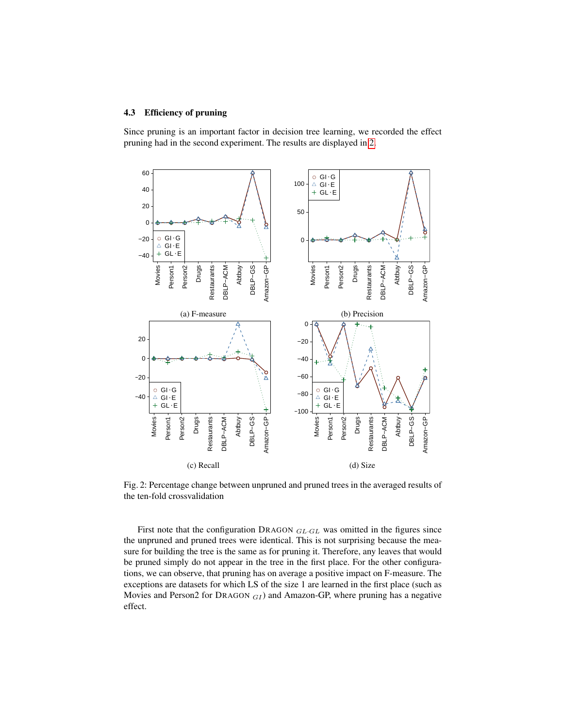### 4.3 Efficiency of pruning

Since pruning is an important factor in decision tree learning, we recorded the effect pruning had in the second experiment. The results are displayed in [2.](#page-11-0)

<span id="page-11-0"></span>

Fig. 2: Percentage change between unpruned and pruned trees in the averaged results of the ten-fold crossvalidation

First note that the configuration DRAGON  $_{GL\cdot GL}$  was omitted in the figures since the unpruned and pruned trees were identical. This is not surprising because the measure for building the tree is the same as for pruning it. Therefore, any leaves that would be pruned simply do not appear in the tree in the first place. For the other configurations, we can observe, that pruning has on average a positive impact on F-measure. The exceptions are datasets for which LS of the size 1 are learned in the first place (such as Movies and Person2 for DRAGON  $_{GI}$ ) and Amazon-GP, where pruning has a negative effect.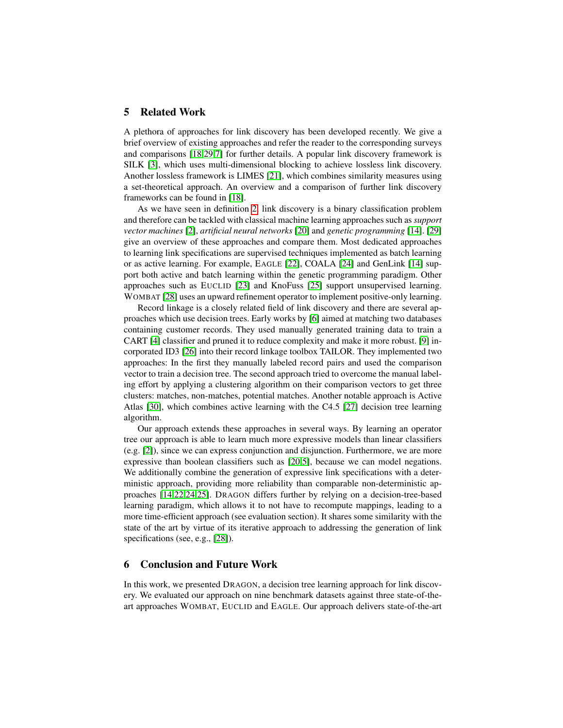### 5 Related Work

A plethora of approaches for link discovery has been developed recently. We give a brief overview of existing approaches and refer the reader to the corresponding surveys and comparisons [\[18](#page-14-0)[,29,](#page-14-11)[7\]](#page-13-8) for further details. A popular link discovery framework is SILK [\[3\]](#page-13-9), which uses multi-dimensional blocking to achieve lossless link discovery. Another lossless framework is LIMES [\[21\]](#page-14-12), which combines similarity measures using a set-theoretical approach. An overview and a comparison of further link discovery frameworks can be found in [\[18\]](#page-14-0).

As we have seen in definition [2,](#page-2-0) link discovery is a binary classification problem and therefore can be tackled with classical machine learning approaches such as *support vector machines* [\[2\]](#page-13-3), *artificial neural networks* [\[20\]](#page-14-13) and *genetic programming* [\[14\]](#page-14-14). [\[29\]](#page-14-11) give an overview of these approaches and compare them. Most dedicated approaches to learning link specifications are supervised techniques implemented as batch learning or as active learning. For example, EAGLE [\[22\]](#page-14-7), COALA [\[24\]](#page-14-15) and GenLink [\[14\]](#page-14-14) support both active and batch learning within the genetic programming paradigm. Other approaches such as EUCLID [\[23\]](#page-14-10) and KnoFuss [\[25\]](#page-14-16) support unsupervised learning. WOMBAT [\[28\]](#page-14-1) uses an upward refinement operator to implement positive-only learning.

Record linkage is a closely related field of link discovery and there are several approaches which use decision trees. Early works by [\[6\]](#page-13-10) aimed at matching two databases containing customer records. They used manually generated training data to train a CART [\[4\]](#page-13-11) classifier and pruned it to reduce complexity and make it more robust. [\[9\]](#page-13-12) incorporated ID3 [\[26\]](#page-14-17) into their record linkage toolbox TAILOR. They implemented two approaches: In the first they manually labeled record pairs and used the comparison vector to train a decision tree. The second approach tried to overcome the manual labeling effort by applying a clustering algorithm on their comparison vectors to get three clusters: matches, non-matches, potential matches. Another notable approach is Active Atlas [\[30\]](#page-14-18), which combines active learning with the C4.5 [\[27\]](#page-14-8) decision tree learning algorithm.

Our approach extends these approaches in several ways. By learning an operator tree our approach is able to learn much more expressive models than linear classifiers (e.g. [\[2\]](#page-13-3)), since we can express conjunction and disjunction. Furthermore, we are more expressive than boolean classifiers such as [\[20](#page-14-13)[,5\]](#page-13-4), because we can model negations. We additionally combine the generation of expressive link specifications with a deterministic approach, providing more reliability than comparable non-deterministic approaches [\[14,](#page-14-14)[22,](#page-14-7)[24,](#page-14-15)[25\]](#page-14-16). DRAGON differs further by relying on a decision-tree-based learning paradigm, which allows it to not have to recompute mappings, leading to a more time-efficient approach (see evaluation section). It shares some similarity with the state of the art by virtue of its iterative approach to addressing the generation of link specifications (see, e.g., [\[28\]](#page-14-1)).

### 6 Conclusion and Future Work

In this work, we presented DRAGON, a decision tree learning approach for link discovery. We evaluated our approach on nine benchmark datasets against three state-of-theart approaches WOMBAT, EUCLID and EAGLE. Our approach delivers state-of-the-art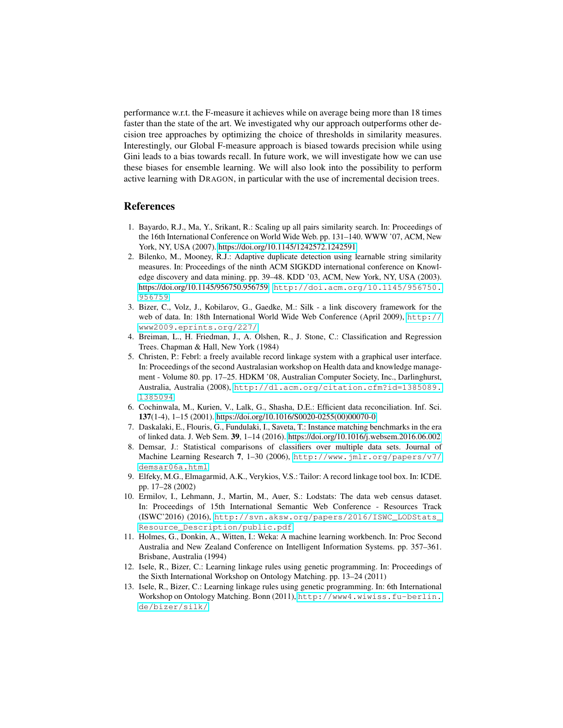performance w.r.t. the F-measure it achieves while on average being more than 18 times faster than the state of the art. We investigated why our approach outperforms other decision tree approaches by optimizing the choice of thresholds in similarity measures. Interestingly, our Global F-measure approach is biased towards precision while using Gini leads to a bias towards recall. In future work, we will investigate how we can use these biases for ensemble learning. We will also look into the possibility to perform active learning with DRAGON, in particular with the use of incremental decision trees.

### **References**

- <span id="page-13-2"></span>1. Bayardo, R.J., Ma, Y., Srikant, R.: Scaling up all pairs similarity search. In: Proceedings of the 16th International Conference on World Wide Web. pp. 131–140. WWW '07, ACM, New York, NY, USA (2007).<https://doi.org/10.1145/1242572.1242591>
- <span id="page-13-3"></span>2. Bilenko, M., Mooney, R.J.: Adaptive duplicate detection using learnable string similarity measures. In: Proceedings of the ninth ACM SIGKDD international conference on Knowledge discovery and data mining. pp. 39–48. KDD '03, ACM, New York, NY, USA (2003). [https://doi.org/10.1145/956750.956759,](https://doi.org/10.1145/956750.956759) [http://doi.acm.org/10.1145/956750.](http://doi.acm.org/10.1145/956750.956759) [956759](http://doi.acm.org/10.1145/956750.956759)
- <span id="page-13-9"></span>3. Bizer, C., Volz, J., Kobilarov, G., Gaedke, M.: Silk - a link discovery framework for the web of data. In: 18th International World Wide Web Conference (April 2009), [http://](http://www2009.eprints.org/227/) [www2009.eprints.org/227/](http://www2009.eprints.org/227/)
- <span id="page-13-11"></span>4. Breiman, L., H. Friedman, J., A. Olshen, R., J. Stone, C.: Classification and Regression Trees. Chapman & Hall, New York (1984)
- <span id="page-13-4"></span>5. Christen, P.: Febrl: a freely available record linkage system with a graphical user interface. In: Proceedings of the second Australasian workshop on Health data and knowledge management - Volume 80. pp. 17–25. HDKM '08, Australian Computer Society, Inc., Darlinghurst, Australia, Australia (2008), [http://dl.acm.org/citation.cfm?id=1385089.](http://dl.acm.org/citation.cfm?id=1385089.1385094) [1385094](http://dl.acm.org/citation.cfm?id=1385089.1385094)
- <span id="page-13-10"></span>6. Cochinwala, M., Kurien, V., Lalk, G., Shasha, D.E.: Efficient data reconciliation. Inf. Sci. 137(1-4), 1–15 (2001). [https://doi.org/10.1016/S0020-0255\(00\)00070-0](https://doi.org/10.1016/S0020-0255(00)00070-0)
- <span id="page-13-8"></span>7. Daskalaki, E., Flouris, G., Fundulaki, I., Saveta, T.: Instance matching benchmarks in the era of linked data. J. Web Sem. 39, 1–14 (2016).<https://doi.org/10.1016/j.websem.2016.06.002>
- <span id="page-13-7"></span>8. Demsar, J.: Statistical comparisons of classifiers over multiple data sets. Journal of Machine Learning Research 7, 1–30 (2006), [http://www.jmlr.org/papers/v7/](http://www.jmlr.org/papers/v7/demsar06a.html) [demsar06a.html](http://www.jmlr.org/papers/v7/demsar06a.html)
- <span id="page-13-12"></span>9. Elfeky, M.G., Elmagarmid, A.K., Verykios, V.S.: Tailor: A record linkage tool box. In: ICDE. pp. 17–28 (2002)
- <span id="page-13-0"></span>10. Ermilov, I., Lehmann, J., Martin, M., Auer, S.: Lodstats: The data web census dataset. In: Proceedings of 15th International Semantic Web Conference - Resources Track (ISWC'2016) (2016), [http://svn.aksw.org/papers/2016/ISWC\\_LODStats\\_](http://svn.aksw.org/papers/2016/ISWC_LODStats_Resource_Description/public.pdf) [Resource\\_Description/public.pdf](http://svn.aksw.org/papers/2016/ISWC_LODStats_Resource_Description/public.pdf)
- <span id="page-13-6"></span>11. Holmes, G., Donkin, A., Witten, I.: Weka: A machine learning workbench. In: Proc Second Australia and New Zealand Conference on Intelligent Information Systems. pp. 357–361. Brisbane, Australia (1994)
- <span id="page-13-1"></span>12. Isele, R., Bizer, C.: Learning linkage rules using genetic programming. In: Proceedings of the Sixth International Workshop on Ontology Matching. pp. 13–24 (2011)
- <span id="page-13-5"></span>13. Isele, R., Bizer, C.: Learning linkage rules using genetic programming. In: 6th International Workshop on Ontology Matching. Bonn (2011), [http://www4.wiwiss.fu-berlin.](http://www4.wiwiss.fu-berlin.de/bizer/silk/) [de/bizer/silk/](http://www4.wiwiss.fu-berlin.de/bizer/silk/)